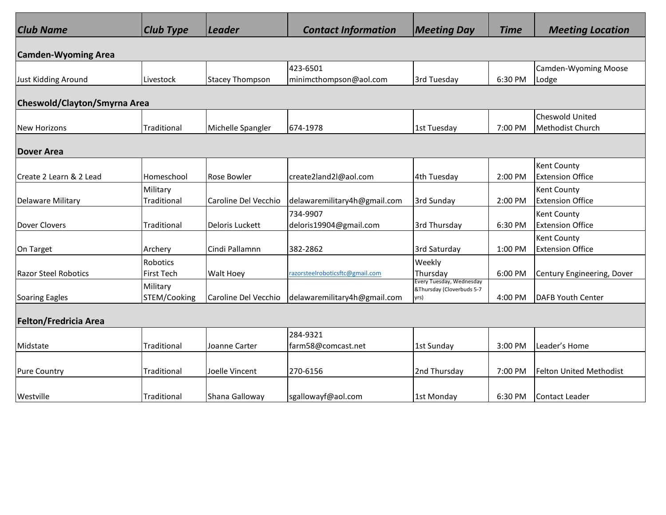| <b>Club Name</b>             | $ Club$ Type                  | Leader                 | <b>Contact Information</b>         | <b>Meeting Day</b>                                            | <b>Time</b> | <b>Meeting Location</b>                       |  |  |  |  |
|------------------------------|-------------------------------|------------------------|------------------------------------|---------------------------------------------------------------|-------------|-----------------------------------------------|--|--|--|--|
| <b>Camden-Wyoming Area</b>   |                               |                        |                                    |                                                               |             |                                               |  |  |  |  |
| Just Kidding Around          | Livestock                     | <b>Stacey Thompson</b> | 423-6501<br>minimcthompson@aol.com | 3rd Tuesday                                                   | 6:30 PM     | <b>Camden-Wyoming Moose</b><br>Lodge          |  |  |  |  |
| Cheswold/Clayton/Smyrna Area |                               |                        |                                    |                                                               |             |                                               |  |  |  |  |
| <b>New Horizons</b>          | Traditional                   | Michelle Spangler      | 674-1978                           | 1st Tuesday                                                   | 7:00 PM     | Cheswold United<br>Methodist Church           |  |  |  |  |
| <b>Dover Area</b>            |                               |                        |                                    |                                                               |             |                                               |  |  |  |  |
| Create 2 Learn & 2 Lead      | Homeschool                    | Rose Bowler            | create2land2l@aol.com              | 4th Tuesday                                                   | 2:00 PM     | <b>Kent County</b><br><b>Extension Office</b> |  |  |  |  |
| Delaware Military            | Military<br>Traditional       | Caroline Del Vecchio   | delawaremilitary4h@gmail.com       | 3rd Sunday                                                    | 2:00 PM     | <b>Kent County</b><br><b>Extension Office</b> |  |  |  |  |
| Dover Clovers                | Traditional                   | Deloris Luckett        | 734-9907<br>deloris19904@gmail.com | 3rd Thursday                                                  | 6:30 PM     | Kent County<br><b>Extension Office</b>        |  |  |  |  |
| On Target                    | Archery                       | Cindi Pallamnn         | 382-2862                           | 3rd Saturday                                                  | 1:00 PM     | <b>Kent County</b><br><b>Extension Office</b> |  |  |  |  |
| <b>Razor Steel Robotics</b>  | Robotics<br><b>First Tech</b> | Walt Hoey              | razorsteelroboticsftc@gmail.com    | Weekly<br>Thursday                                            | 6:00 PM     | Century Engineering, Dover                    |  |  |  |  |
| Soaring Eagles               | Military<br>STEM/Cooking      | Caroline Del Vecchio   | delawaremilitary4h@gmail.com       | Every Tuesday, Wednesday<br>&Thursday (Cloverbuds 5-7<br>yrs) | 4:00 PM     | DAFB Youth Center                             |  |  |  |  |
| <b>Felton/Fredricia Area</b> |                               |                        |                                    |                                                               |             |                                               |  |  |  |  |
| Midstate                     | Traditional                   | Joanne Carter          | 284-9321<br>farm58@comcast.net     | 1st Sunday                                                    | 3:00 PM     | Leader's Home                                 |  |  |  |  |
| <b>Pure Country</b>          | Traditional                   | Joelle Vincent         | 270-6156                           | 2nd Thursday                                                  | 7:00 PM     | Felton United Methodist                       |  |  |  |  |
| Westville                    | Traditional                   | Shana Galloway         | sgallowayf@aol.com                 | 1st Monday                                                    | 6:30 PM     | Contact Leader                                |  |  |  |  |